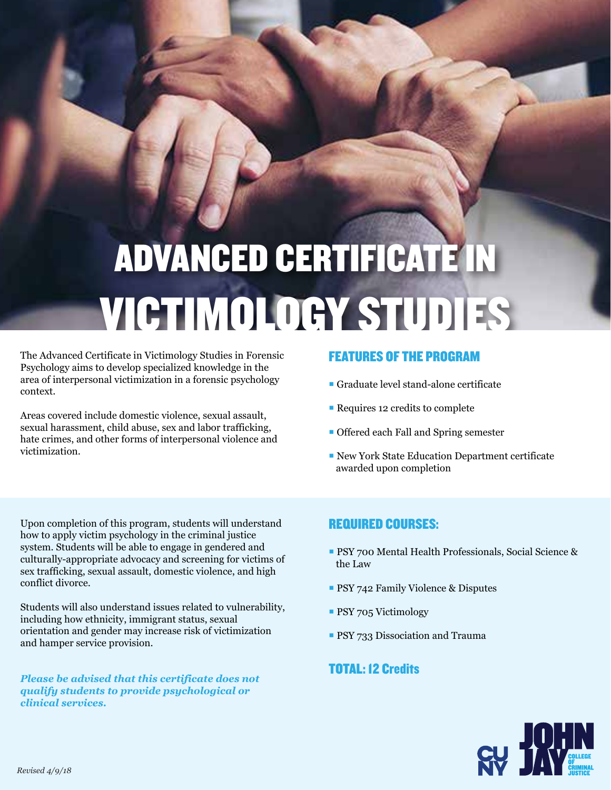# ADVANCED CERTIFICATE IN VICTIMOLOGY STUDIES

The Advanced Certificate in Victimology Studies in Forensic Psychology aims to develop specialized knowledge in the area of interpersonal victimization in a forensic psychology context.

Areas covered include domestic violence, sexual assault, sexual harassment, child abuse, sex and labor trafficking, hate crimes, and other forms of interpersonal violence and victimization.

#### FEATURES OF THE PROGRAM

- Graduate level stand-alone certificate
- Requires 12 credits to complete
- **Offered each Fall and Spring semester**
- New York State Education Department certificate awarded upon completion

Upon completion of this program, students will understand how to apply victim psychology in the criminal justice system. Students will be able to engage in gendered and culturally-appropriate advocacy and screening for victims of sex trafficking, sexual assault, domestic violence, and high conflict divorce.

Students will also understand issues related to vulnerability, including how ethnicity, immigrant status, sexual orientation and gender may increase risk of victimization and hamper service provision.

*Please be advised that this certificate does not qualify students to provide psychological or clinical services.* 

#### REQUIRED COURSES:

- **PSY 700 Mental Health Professionals, Social Science &** the Law
- **PSY 742 Family Violence & Disputes**
- **PSY 705 Victimology**
- **PSY 733 Dissociation and Trauma**

#### TOTAL: 12 Credits